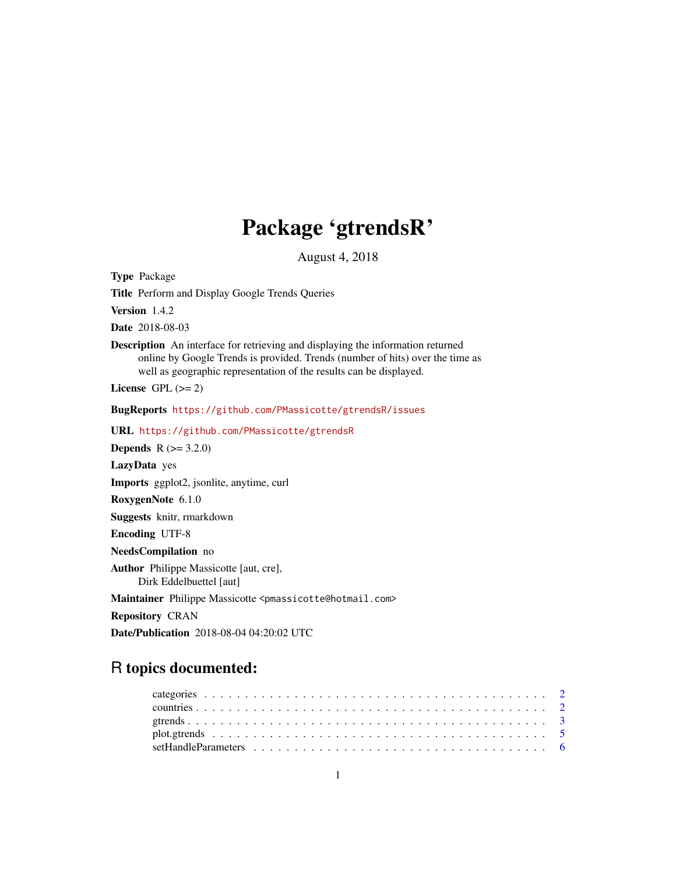## Package 'gtrendsR'

August 4, 2018

Type Package Title Perform and Display Google Trends Queries Version 1.4.2 Date 2018-08-03 Description An interface for retrieving and displaying the information returned online by Google Trends is provided. Trends (number of hits) over the time as well as geographic representation of the results can be displayed. License GPL  $(>= 2)$ BugReports <https://github.com/PMassicotte/gtrendsR/issues> URL <https://github.com/PMassicotte/gtrendsR> **Depends** R  $(>= 3.2.0)$ LazyData yes Imports ggplot2, jsonlite, anytime, curl RoxygenNote 6.1.0 Suggests knitr, rmarkdown Encoding UTF-8 NeedsCompilation no Author Philippe Massicotte [aut, cre], Dirk Eddelbuettel [aut] Maintainer Philippe Massicotte <pmassicotte@hotmail.com> Repository CRAN

Date/Publication 2018-08-04 04:20:02 UTC

### R topics documented: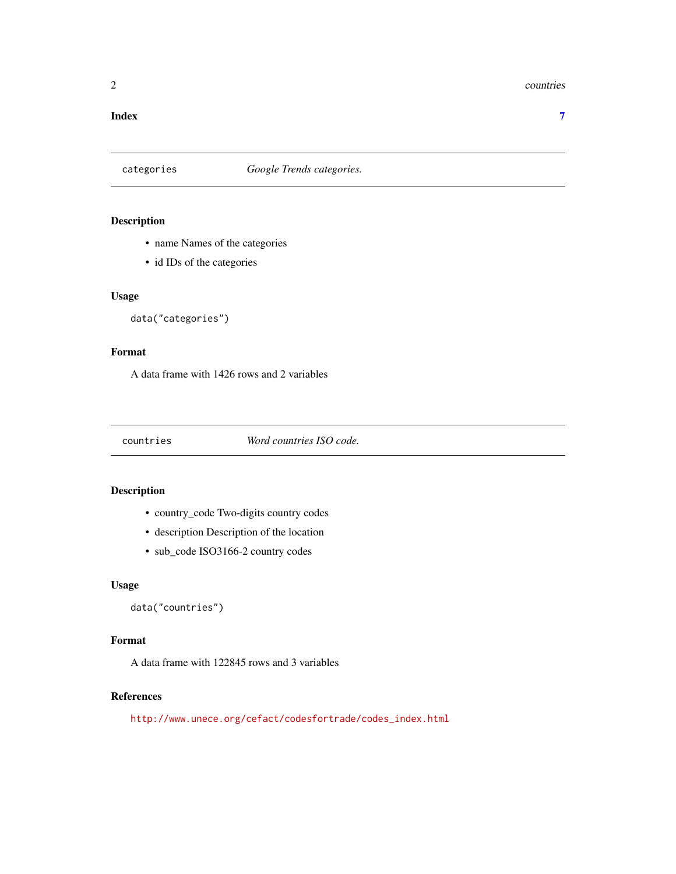#### <span id="page-1-0"></span>2 countries and  $\sim$  countries countries and  $\sim$  countries countries countries

#### **Index** [7](#page-6-0) **7**

#### categories *Google Trends categories.*

#### Description

- name Names of the categories
- id IDs of the categories

#### Usage

```
data("categories")
```
#### Format

A data frame with 1426 rows and 2 variables

countries *Word countries ISO code.*

#### Description

- country\_code Two-digits country codes
- description Description of the location
- sub\_code ISO3166-2 country codes

#### Usage

```
data("countries")
```
#### Format

A data frame with 122845 rows and 3 variables

#### References

[http://www.unece.org/cefact/codesfortrade/codes\\_index.html](http://www.unece.org/cefact/codesfortrade/codes_index.html)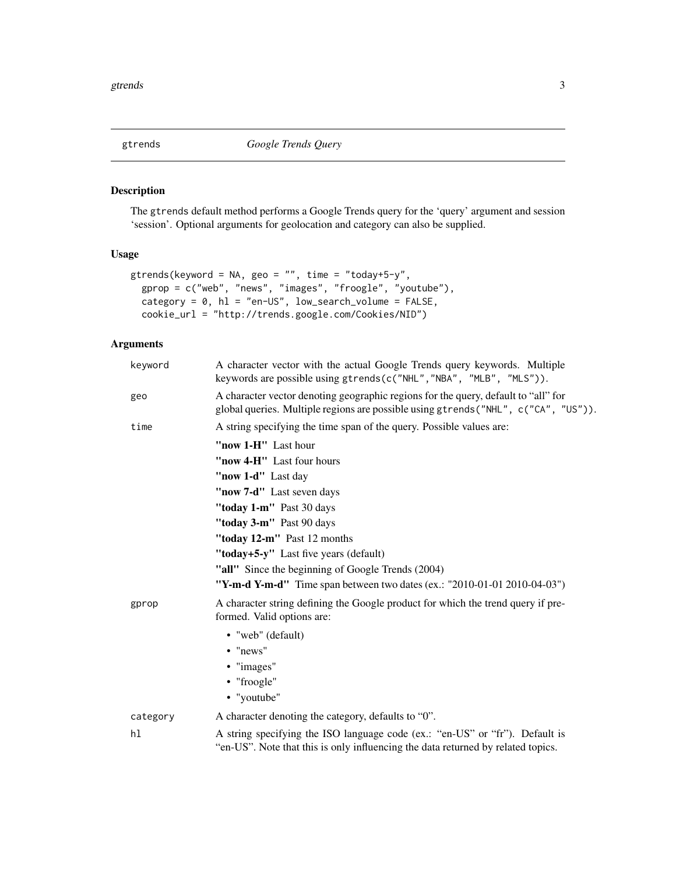<span id="page-2-1"></span><span id="page-2-0"></span>

#### Description

The gtrends default method performs a Google Trends query for the 'query' argument and session 'session'. Optional arguments for geolocation and category can also be supplied.

#### Usage

```
gtrends(keyword = NA, geo = ", time = "today+5-y",
 gprop = c("web", "news", "images", "froogle", "youtube"),
 category = 0, hl = "en-US", low_search_volume = FALSE,
 cookie_url = "http://trends.google.com/Cookies/NID")
```
#### Arguments

| keyword  | A character vector with the actual Google Trends query keywords. Multiple<br>keywords are possible using gtrends(c("NHL", "NBA", "MLB", "MLS")).                          |  |  |  |  |  |  |  |  |  |
|----------|---------------------------------------------------------------------------------------------------------------------------------------------------------------------------|--|--|--|--|--|--|--|--|--|
| geo      | A character vector denoting geographic regions for the query, default to "all" for<br>global queries. Multiple regions are possible using gtrends ("NHL", c("CA", "US")). |  |  |  |  |  |  |  |  |  |
| time     | A string specifying the time span of the query. Possible values are:                                                                                                      |  |  |  |  |  |  |  |  |  |
|          | "now 1-H" Last hour                                                                                                                                                       |  |  |  |  |  |  |  |  |  |
|          | "now 4-H" Last four hours                                                                                                                                                 |  |  |  |  |  |  |  |  |  |
|          | "now 1-d" Last day                                                                                                                                                        |  |  |  |  |  |  |  |  |  |
|          | "now 7-d" Last seven days                                                                                                                                                 |  |  |  |  |  |  |  |  |  |
|          | "today 1-m" Past 30 days                                                                                                                                                  |  |  |  |  |  |  |  |  |  |
|          | "today 3-m" Past 90 days                                                                                                                                                  |  |  |  |  |  |  |  |  |  |
|          | "today 12-m" Past 12 months                                                                                                                                               |  |  |  |  |  |  |  |  |  |
|          | "today+5-y" Last five years (default)                                                                                                                                     |  |  |  |  |  |  |  |  |  |
|          | "all" Since the beginning of Google Trends (2004)                                                                                                                         |  |  |  |  |  |  |  |  |  |
|          | "Y-m-d Y-m-d" Time span between two dates (ex.: "2010-01-01 2010-04-03")                                                                                                  |  |  |  |  |  |  |  |  |  |
| gprop    | A character string defining the Google product for which the trend query if pre-<br>formed. Valid options are:                                                            |  |  |  |  |  |  |  |  |  |
|          | • "web" (default)                                                                                                                                                         |  |  |  |  |  |  |  |  |  |
|          | $\bullet$ "news"                                                                                                                                                          |  |  |  |  |  |  |  |  |  |
|          | • "images"                                                                                                                                                                |  |  |  |  |  |  |  |  |  |
|          | • "froogle"                                                                                                                                                               |  |  |  |  |  |  |  |  |  |
|          | • "youtube"                                                                                                                                                               |  |  |  |  |  |  |  |  |  |
| category | A character denoting the category, defaults to "0".                                                                                                                       |  |  |  |  |  |  |  |  |  |
| hl       | A string specifying the ISO language code (ex.: "en-US" or "fr"). Default is<br>"en-US". Note that this is only influencing the data returned by related topics.          |  |  |  |  |  |  |  |  |  |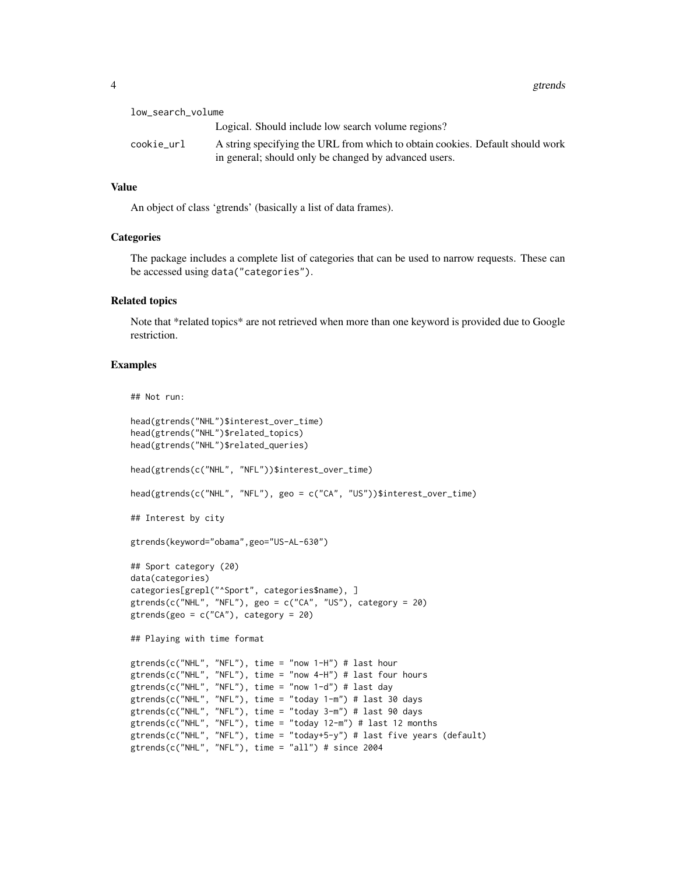| low_search_volume |                                                                                                                                        |
|-------------------|----------------------------------------------------------------------------------------------------------------------------------------|
|                   | Logical. Should include low search volume regions?                                                                                     |
| cookie_url        | A string specifying the URL from which to obtain cookies. Default should work<br>in general; should only be changed by advanced users. |

#### Value

An object of class 'gtrends' (basically a list of data frames).

#### **Categories**

The package includes a complete list of categories that can be used to narrow requests. These can be accessed using data("categories").

#### Related topics

Note that \*related topics\* are not retrieved when more than one keyword is provided due to Google restriction.

#### Examples

## Not run:

```
head(gtrends("NHL")$interest_over_time)
head(gtrends("NHL")$related_topics)
head(gtrends("NHL")$related_queries)
head(gtrends(c("NHL", "NFL"))$interest_over_time)
head(gtrends(c("NHL", "NFL"), geo = c("CA", "US"))$interest_over_time)
## Interest by city
gtrends(keyword="obama",geo="US-AL-630")
## Sport category (20)
data(categories)
categories[grepl("^Sport", categories$name), ]
gtrends(c("NHL", "NFL"), geo = c("CA", "US"), category = 20)
gtrends(geo = c("CA"), category = 20)
## Playing with time format
gtrends(c("NHL", "NFL"), time = "now 1-H") # last hour
gtrends(c("NHL", "NFL"), time = "now 4-H") # last four hours
gtrends(c("NHL", "NFL"), time = "now 1-d") # last day
gtrends(c("NHL", "NFL"), time = "today 1-m") # last 30 days
gtrends(c("NHL", "NFL"), time = "today 3-m") # last 90 days
gtrends(c("NHL", "NFL"), time = "today 12-m") # last 12 months
gtrends(c("NHL", "NFL"), time = "today+5-y") # last five years (default)
gtrends(c("NHL", "NFL"), time = "all") # since 2004
```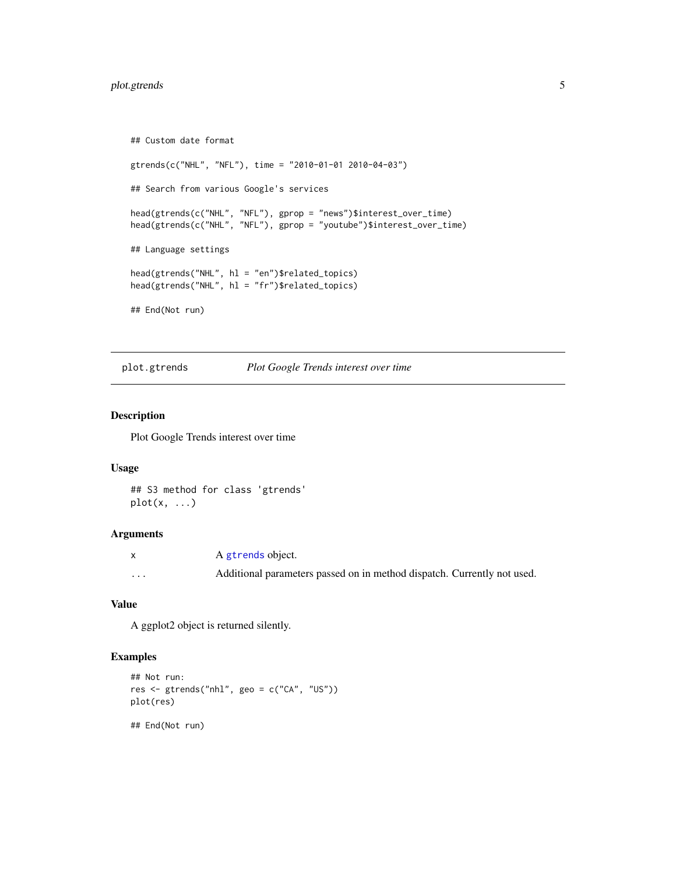#### <span id="page-4-0"></span>plot.gtrends 5

```
## Custom date format
gtrends(c("NHL", "NFL"), time = "2010-01-01 2010-04-03")
## Search from various Google's services
head(gtrends(c("NHL", "NFL"), gprop = "news")$interest_over_time)
head(gtrends(c("NHL", "NFL"), gprop = "youtube")$interest_over_time)
## Language settings
head(gtrends("NHL", hl = "en")$related_topics)
head(gtrends("NHL", hl = "fr")$related_topics)
## End(Not run)
```
plot.gtrends *Plot Google Trends interest over time*

#### Description

Plot Google Trends interest over time

#### Usage

```
## S3 method for class 'gtrends'
plot(x, \ldots)
```
#### Arguments

|          | A gtrends object.                                                       |
|----------|-------------------------------------------------------------------------|
| $\cdots$ | Additional parameters passed on in method dispatch. Currently not used. |

#### Value

A ggplot2 object is returned silently.

#### Examples

```
## Not run:
res <- gtrends("nhl", geo = c("CA", "US"))
plot(res)
## End(Not run)
```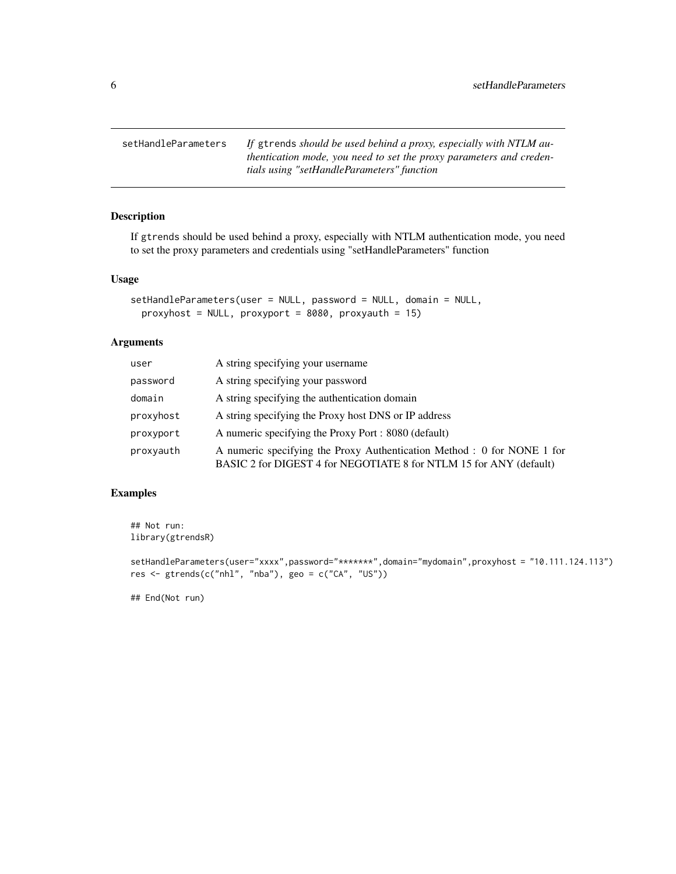<span id="page-5-0"></span>setHandleParameters *If* gtrends *should be used behind a proxy, especially with NTLM authentication mode, you need to set the proxy parameters and credentials using "setHandleParameters" function*

#### Description

If gtrends should be used behind a proxy, especially with NTLM authentication mode, you need to set the proxy parameters and credentials using "setHandleParameters" function

#### Usage

```
setHandleParameters(user = NULL, password = NULL, domain = NULL,
 proxyhost = NULL, proxyport = 8080, proxyauth = 15)
```
#### Arguments

| user      | A string specifying your username                                                                                                             |
|-----------|-----------------------------------------------------------------------------------------------------------------------------------------------|
| password  | A string specifying your password                                                                                                             |
| domain    | A string specifying the authentication domain                                                                                                 |
| proxyhost | A string specifying the Proxy host DNS or IP address                                                                                          |
| proxyport | A numeric specifying the Proxy Port : 8080 (default)                                                                                          |
| proxyauth | A numeric specifying the Proxy Authentication Method : 0 for NONE 1 for<br>BASIC 2 for DIGEST 4 for NEGOTIATE 8 for NTLM 15 for ANY (default) |

#### Examples

## Not run: library(gtrendsR)

```
setHandleParameters(user="xxxx",password="********",domain="mydomain",proxyhost = "10.111.124.113")
res \le gtrends(c("nhl", "nba"), geo = c("CA", "US"))
```
## End(Not run)